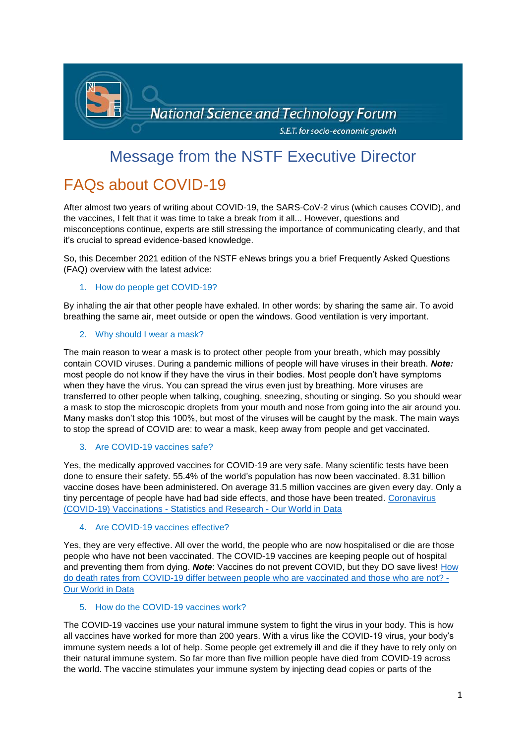

# Message from the NSTF Executive Director

# FAQs about COVID-19

After almost two years of writing about COVID-19, the SARS-CoV-2 virus (which causes COVID), and the vaccines, I felt that it was time to take a break from it all... However, questions and misconceptions continue, experts are still stressing the importance of communicating clearly, and that it's crucial to spread evidence-based knowledge.

So, this December 2021 edition of the NSTF eNews brings you a brief Frequently Asked Questions (FAQ) overview with the latest advice:

1. How do people get COVID-19?

By inhaling the air that other people have exhaled. In other words: by sharing the same air. To avoid breathing the same air, meet outside or open the windows. Good ventilation is very important.

## 2. Why should I wear a mask?

The main reason to wear a mask is to protect other people from your breath, which may possibly contain COVID viruses. During a pandemic millions of people will have viruses in their breath. *Note:* most people do not know if they have the virus in their bodies. Most people don't have symptoms when they have the virus. You can spread the virus even just by breathing. More viruses are transferred to other people when talking, coughing, sneezing, shouting or singing. So you should wear a mask to stop the microscopic droplets from your mouth and nose from going into the air around you. Many masks don't stop this 100%, but most of the viruses will be caught by the mask. The main ways to stop the spread of COVID are: to wear a mask, keep away from people and get vaccinated.

## 3. Are COVID-19 vaccines safe?

Yes, the medically approved vaccines for COVID-19 are very safe. Many scientific tests have been done to ensure their safety. 55.4% of the world's population has now been vaccinated. 8.31 billion vaccine doses have been administered. On average 31.5 million vaccines are given every day. Only a tiny percentage of people have had bad side effects, and those have been treated. [Coronavirus](https://ourworldindata.org/covid-vaccinations?country=OWID_WRL)  [\(COVID-19\) Vaccinations -](https://ourworldindata.org/covid-vaccinations?country=OWID_WRL) Statistics and Research - Our World in Data

## 4. Are COVID-19 vaccines effective?

Yes, they are very effective. All over the world, the people who are now hospitalised or die are those people who have not been vaccinated. The COVID-19 vaccines are keeping people out of hospital and preventing them from dying. *Note*: Vaccines do not prevent COVID, but they DO save lives! [How](https://ourworldindata.org/covid-deaths-by-vaccination?utm_source=OWID+Newsletter&utm_campaign=18d3ab6fa9-biweekly-digest-2021-12-03&utm_medium=email&utm_term=0_2e166c1fc1-18d3ab6fa9-536977258)  [do death rates from COVID-19 differ between people who are vaccinated and those who are not? -](https://ourworldindata.org/covid-deaths-by-vaccination?utm_source=OWID+Newsletter&utm_campaign=18d3ab6fa9-biweekly-digest-2021-12-03&utm_medium=email&utm_term=0_2e166c1fc1-18d3ab6fa9-536977258) [Our World in Data](https://ourworldindata.org/covid-deaths-by-vaccination?utm_source=OWID+Newsletter&utm_campaign=18d3ab6fa9-biweekly-digest-2021-12-03&utm_medium=email&utm_term=0_2e166c1fc1-18d3ab6fa9-536977258)

## 5. How do the COVID-19 vaccines work?

The COVID-19 vaccines use your natural immune system to fight the virus in your body. This is how all vaccines have worked for more than 200 years. With a virus like the COVID-19 virus, your body's immune system needs a lot of help. Some people get extremely ill and die if they have to rely only on their natural immune system. So far more than five million people have died from COVID-19 across the world. The vaccine stimulates your immune system by injecting dead copies or parts of the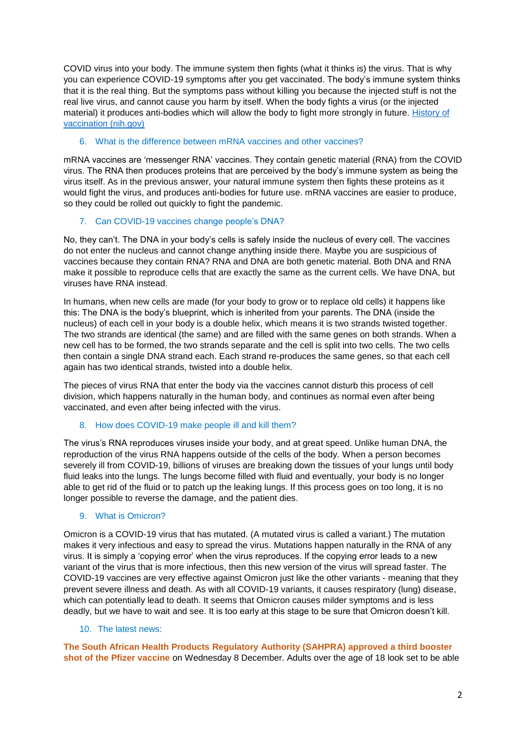COVID virus into your body. The immune system then fights (what it thinks is) the virus. That is why you can experience COVID-19 symptoms after you get vaccinated. The body's immune system thinks that it is the real thing. But the symptoms pass without killing you because the injected stuff is not the real live virus, and cannot cause you harm by itself. When the body fights a virus (or the injected material) it produces anti-bodies which will allow the body to fight more strongly in future. [History of](https://www.ncbi.nlm.nih.gov/pmc/articles/PMC4151719/)  [vaccination \(nih.gov\)](https://www.ncbi.nlm.nih.gov/pmc/articles/PMC4151719/)

## 6. What is the difference between mRNA vaccines and other vaccines?

mRNA vaccines are 'messenger RNA' vaccines. They contain genetic material (RNA) from the COVID virus. The RNA then produces proteins that are perceived by the body's immune system as being the virus itself. As in the previous answer, your natural immune system then fights these proteins as it would fight the virus, and produces anti-bodies for future use. mRNA vaccines are easier to produce, so they could be rolled out quickly to fight the pandemic.

## 7. Can COVID-19 vaccines change people's DNA?

No, they can't. The DNA in your body's cells is safely inside the nucleus of every cell. The vaccines do not enter the nucleus and cannot change anything inside there. Maybe you are suspicious of vaccines because they contain RNA? RNA and DNA are both genetic material. Both DNA and RNA make it possible to reproduce cells that are exactly the same as the current cells. We have DNA, but viruses have RNA instead.

In humans, when new cells are made (for your body to grow or to replace old cells) it happens like this: The DNA is the body's blueprint, which is inherited from your parents. The DNA (inside the nucleus) of each cell in your body is a double helix, which means it is two strands twisted together. The two strands are identical (the same) and are filled with the same genes on both strands. When a new cell has to be formed, the two strands separate and the cell is split into two cells. The two cells then contain a single DNA strand each. Each strand re-produces the same genes, so that each cell again has two identical strands, twisted into a double helix.

The pieces of virus RNA that enter the body via the vaccines cannot disturb this process of cell division, which happens naturally in the human body, and continues as normal even after being vaccinated, and even after being infected with the virus.

## 8. How does COVID-19 make people ill and kill them?

The virus's RNA reproduces viruses inside your body, and at great speed. Unlike human DNA, the reproduction of the virus RNA happens outside of the cells of the body. When a person becomes severely ill from COVID-19, billions of viruses are breaking down the tissues of your lungs until body fluid leaks into the lungs. The lungs become filled with fluid and eventually, your body is no longer able to get rid of the fluid or to patch up the leaking lungs. If this process goes on too long, it is no longer possible to reverse the damage, and the patient dies.

## 9. What is Omicron?

Omicron is a COVID-19 virus that has mutated. (A mutated virus is called a variant.) The mutation makes it very infectious and easy to spread the virus. Mutations happen naturally in the RNA of any virus. It is simply a 'copying error' when the virus reproduces. If the copying error leads to a new variant of the virus that is more infectious, then this new version of the virus will spread faster. The COVID-19 vaccines are very effective against Omicron just like the other variants - meaning that they prevent severe illness and death. As with all COVID-19 variants, it causes respiratory (lung) disease, which can potentially lead to death. It seems that Omicron causes milder symptoms and is less deadly, but we have to wait and see. It is too early at this stage to be sure that Omicron doesn't kill.

## 10. The latest news:

**The South African Health Products Regulatory Authority (SAHPRA) approved a third booster shot of the Pfizer vaccine** on Wednesday 8 December. Adults over the age of 18 look set to be able